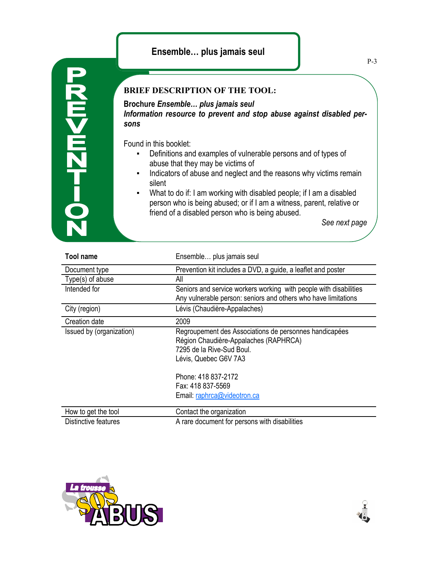## **Ensemble… plus jamais seul**

## **BRIEF DESCRIPTION OF THE TOOL:**

**Brochure** *Ensemble… plus jamais seul Information resource to prevent and stop abuse against disabled persons*

Found in this booklet:

**20-7ZM<MZ** 

- Definitions and examples of vulnerable persons and of types of abuse that they may be victims of
- **•** Indicators of abuse and neglect and the reasons why victims remain silent
- What to do if: I am working with disabled people; if I am a disabled person who is being abused; or if I am a witness, parent, relative or friend of a disabled person who is being abused.

*See next page*

| <b>Tool name</b>         | Ensemble plus jamais seul                                                                                                                                                                                                        |
|--------------------------|----------------------------------------------------------------------------------------------------------------------------------------------------------------------------------------------------------------------------------|
| Document type            | Prevention kit includes a DVD, a guide, a leaflet and poster                                                                                                                                                                     |
| Type(s) of abuse         | All                                                                                                                                                                                                                              |
| Intended for             | Seniors and service workers working with people with disabilities<br>Any vulnerable person: seniors and others who have limitations                                                                                              |
| City (region)            | Lévis (Chaudière-Appalaches)                                                                                                                                                                                                     |
| Creation date            | 2009                                                                                                                                                                                                                             |
| Issued by (organization) | Regroupement des Associations de personnes handicapées<br>Région Chaudière-Appalaches (RAPHRCA)<br>7295 de la Rive-Sud Boul.<br>Lévis, Quebec G6V 7A3<br>Phone: 418 837-2172<br>Fax: 418 837-5569<br>Email: raphrca@videotron.ca |
| How to get the tool      | Contact the organization                                                                                                                                                                                                         |
| Distinctive features     | A rare document for persons with disabilities                                                                                                                                                                                    |